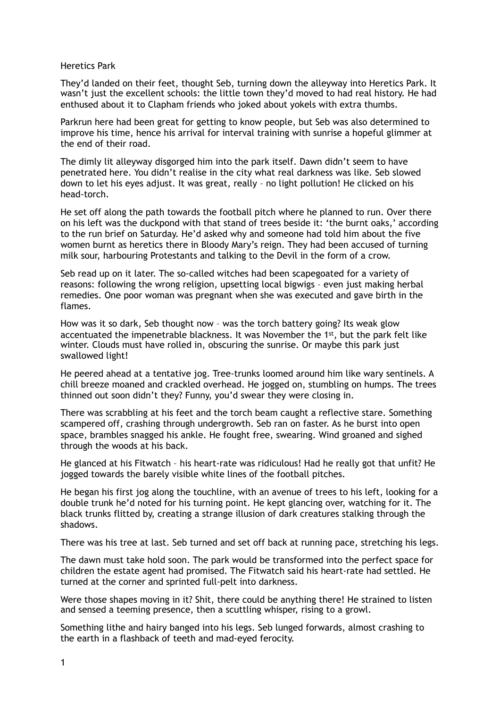## Heretics Park

They'd landed on their feet, thought Seb, turning down the alleyway into Heretics Park. It wasn't just the excellent schools: the little town they'd moved to had real history. He had enthused about it to Clapham friends who joked about yokels with extra thumbs.

Parkrun here had been great for getting to know people, but Seb was also determined to improve his time, hence his arrival for interval training with sunrise a hopeful glimmer at the end of their road.

The dimly lit alleyway disgorged him into the park itself. Dawn didn't seem to have penetrated here. You didn't realise in the city what real darkness was like. Seb slowed down to let his eyes adjust. It was great, really – no light pollution! He clicked on his head-torch.

He set off along the path towards the football pitch where he planned to run. Over there on his left was the duckpond with that stand of trees beside it: 'the burnt oaks,' according to the run brief on Saturday. He'd asked why and someone had told him about the five women burnt as heretics there in Bloody Mary's reign. They had been accused of turning milk sour, harbouring Protestants and talking to the Devil in the form of a crow.

Seb read up on it later. The so-called witches had been scapegoated for a variety of reasons: following the wrong religion, upsetting local bigwigs – even just making herbal remedies. One poor woman was pregnant when she was executed and gave birth in the flames.

How was it so dark, Seb thought now – was the torch battery going? Its weak glow accentuated the impenetrable blackness. It was November the 1st, but the park felt like winter. Clouds must have rolled in, obscuring the sunrise. Or maybe this park just swallowed light!

He peered ahead at a tentative jog. Tree-trunks loomed around him like wary sentinels. A chill breeze moaned and crackled overhead. He jogged on, stumbling on humps. The trees thinned out soon didn't they? Funny, you'd swear they were closing in.

There was scrabbling at his feet and the torch beam caught a reflective stare. Something scampered off, crashing through undergrowth. Seb ran on faster. As he burst into open space, brambles snagged his ankle. He fought free, swearing. Wind groaned and sighed through the woods at his back.

He glanced at his Fitwatch – his heart-rate was ridiculous! Had he really got that unfit? He jogged towards the barely visible white lines of the football pitches.

He began his first jog along the touchline, with an avenue of trees to his left, looking for a double trunk he'd noted for his turning point. He kept glancing over, watching for it. The black trunks flitted by, creating a strange illusion of dark creatures stalking through the shadows.

There was his tree at last. Seb turned and set off back at running pace, stretching his legs.

The dawn must take hold soon. The park would be transformed into the perfect space for children the estate agent had promised. The Fitwatch said his heart-rate had settled. He turned at the corner and sprinted full-pelt into darkness.

Were those shapes moving in it? Shit, there could be anything there! He strained to listen and sensed a teeming presence, then a scuttling whisper, rising to a growl.

Something lithe and hairy banged into his legs. Seb lunged forwards, almost crashing to the earth in a flashback of teeth and mad-eyed ferocity.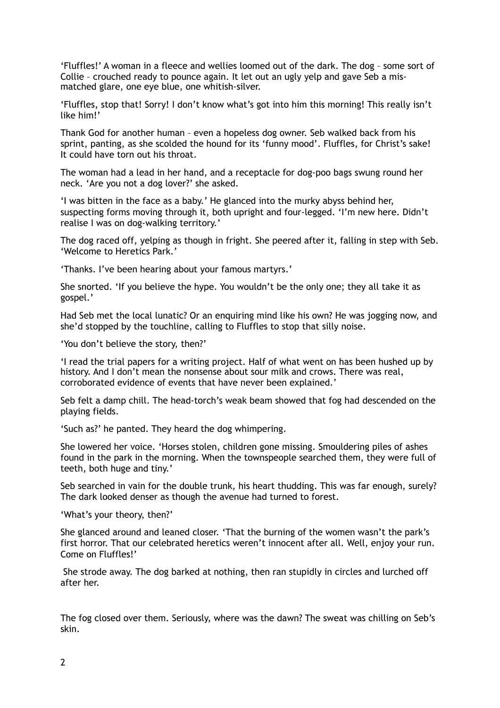'Fluffles!' A woman in a fleece and wellies loomed out of the dark. The dog – some sort of Collie – crouched ready to pounce again. It let out an ugly yelp and gave Seb a mismatched glare, one eye blue, one whitish-silver.

'Fluffles, stop that! Sorry! I don't know what's got into him this morning! This really isn't like him!'

Thank God for another human – even a hopeless dog owner. Seb walked back from his sprint, panting, as she scolded the hound for its 'funny mood'. Fluffles, for Christ's sake! It could have torn out his throat.

The woman had a lead in her hand, and a receptacle for dog-poo bags swung round her neck. 'Are you not a dog lover?' she asked.

'I was bitten in the face as a baby.' He glanced into the murky abyss behind her, suspecting forms moving through it, both upright and four-legged. 'I'm new here. Didn't realise I was on dog-walking territory.'

The dog raced off, yelping as though in fright. She peered after it, falling in step with Seb. 'Welcome to Heretics Park.'

'Thanks. I've been hearing about your famous martyrs.'

She snorted. 'If you believe the hype. You wouldn't be the only one; they all take it as gospel.'

Had Seb met the local lunatic? Or an enquiring mind like his own? He was jogging now, and she'd stopped by the touchline, calling to Fluffles to stop that silly noise.

'You don't believe the story, then?'

'I read the trial papers for a writing project. Half of what went on has been hushed up by history. And I don't mean the nonsense about sour milk and crows. There was real, corroborated evidence of events that have never been explained.'

Seb felt a damp chill. The head-torch's weak beam showed that fog had descended on the playing fields.

'Such as?' he panted. They heard the dog whimpering.

She lowered her voice. 'Horses stolen, children gone missing. Smouldering piles of ashes found in the park in the morning. When the townspeople searched them, they were full of teeth, both huge and tiny.'

Seb searched in vain for the double trunk, his heart thudding. This was far enough, surely? The dark looked denser as though the avenue had turned to forest.

'What's your theory, then?'

She glanced around and leaned closer. 'That the burning of the women wasn't the park's first horror. That our celebrated heretics weren't innocent after all. Well, enjoy your run. Come on Fluffles!'

 She strode away. The dog barked at nothing, then ran stupidly in circles and lurched off after her.

The fog closed over them. Seriously, where was the dawn? The sweat was chilling on Seb's skin.